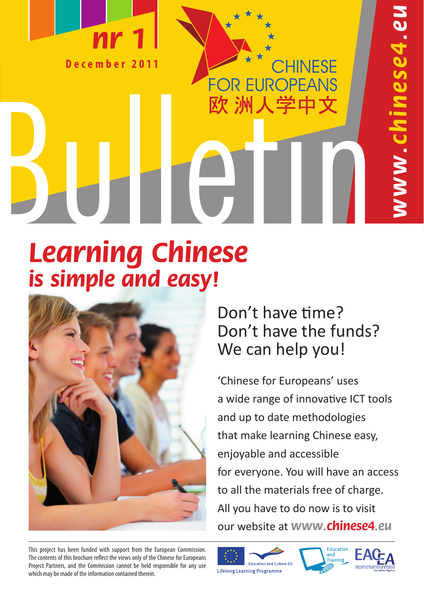

1ese4.eu ומ Clar

# **Learning Chinese is simple and easy!**



Don't have time? Don't have the funds? We can help you!

**CHINESE** 

**REUROPEANS** 

欧洲人学中文

'Chinese for Europeans' uses a wide range of innovative ICT tools and up to date methodologies that make learning Chinese easy, enjoyable and accessible for everyone. You will have an access to all the materials free of charge. All you have to do now is to visit our website at **www.chinese4.eu**

This project has been funded with support from the European Commission. The contents of this brochure reflect the views only of the Chinese for Europeans Project Partners, and the Commission cannot be held responsible for any use which may be made of the information contained therein.



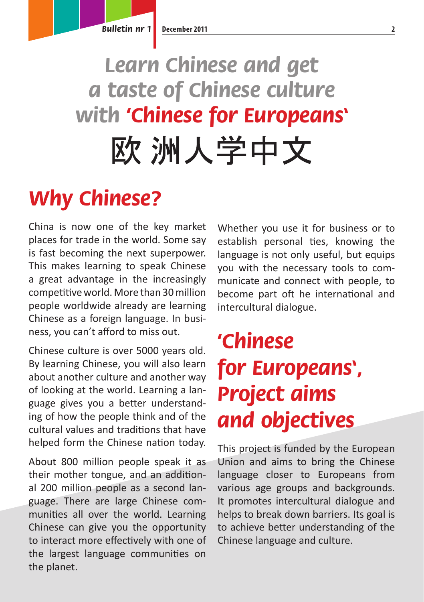# **Learn Chinese and get a taste of Chinese culture with 'Chinese for Europeans'**欧 洲人学中文

## **Why Chinese?**

China is now one of the key market places for trade in the world. Some say is fast becoming the next superpower. This makes learning to speak Chinese a great advantage in the increasingly competitive world. More than 30 million people worldwide already are learning Chinese as a foreign language. In business, you can't afford to miss out.

Chinese culture is over 5000 years old. By learning Chinese, you will also learn about another culture and another way of looking at the world. Learning a language gives you a better understanding of how the people think and of the cultural values and traditions that have helped form the Chinese nation today.

About 800 million people speak it as their mother tongue, and an additional 200 million people as a second language. There are large Chinese communities all over the world. Learning Chinese can give you the opportunity to interact more effectively with one of the largest language communities on the planet.

Whether you use it for business or to establish personal ties, knowing the language is not only useful, but equips you with the necessary tools to communicate and connect with people, to become part oft he international and intercultural dialogue.

## **'Chinese for Europeans', Project aims and objectives**

This project is funded by the European Union and aims to bring the Chinese language closer to Europeans from various age groups and backgrounds. It promotes intercultural dialogue and helps to break down barriers. Its goal is to achieve better understanding of the Chinese language and culture.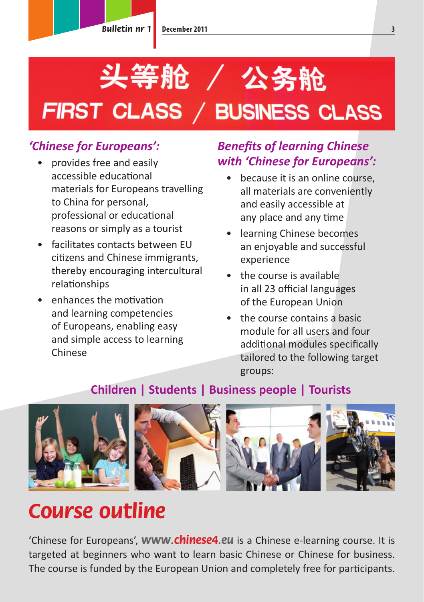# 头等舱 / 公务舱 FIRST CLASS / BUSINESS CLASS

### *'Chinese for Europeans':*

- provides free and easily accessible educational materials for Europeans travelling to China for personal, professional or educational reasons or simply as a tourist
- facilitates contacts between EU citizens and Chinese immigrants, thereby encouraging intercultural relationships
- enhances the motivation and learning competencies of Europeans, enabling easy and simple access to learning Chinese

### *Benefits of learning Chinese with 'Chinese for Europeans':*

- because it is an online course. all materials are conveniently and easily accessible at any place and any time
- learning Chinese becomes an enjoyable and successful experience
- the course is available in all 23 official languages of the European Union
- the course contains a basic module for all users and four additional modules specifically tailored to the following target groups:

### **Children | Students | Business people | Tourists**



## **Course outline**

'Chinese for Europeans', **www.chinese4.eu** is a Chinese e-learning course. It is targeted at beginners who want to learn basic Chinese or Chinese for business. The course is funded by the European Union and completely free for participants.